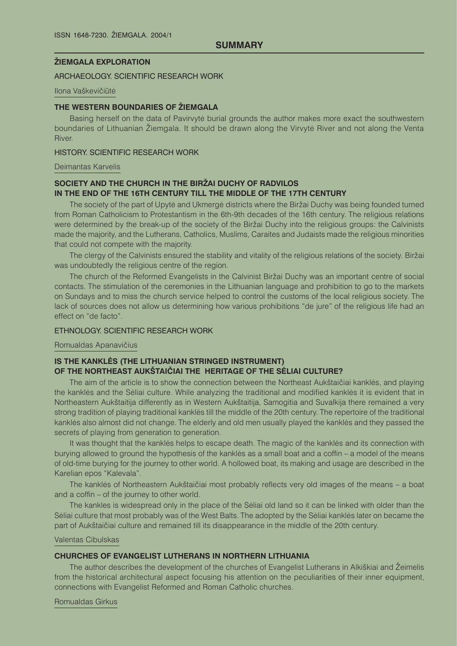### **ÞIEMGALA exploration**

### ARCHAEOLOGY. SCIENTIFIC RESEARCH work

### Ilona Vaškevičiūtė

### **THE WESTERN BOUNDARIES OF ŽIEMGALA**

Basing herself on the data of Pavirvytë burial grounds the author makes more exact the southwestern boundaries of Lithuanian Žiemgala. It should be drawn along the Virvyte River and not along the Venta River.

### History. Scientific research work

#### Deimantas Karvelis

# **Society and the church in the BirÞai Duchy of Radvilos in the end of the 16th century till the middle of the 17th century**

The society of the part of Upytė and Ukmergė districts where the Biržai Duchy was being founded turned from Roman Catholicism to Protestantism in the 6th-9th decades of the 16th century. The religious relations were determined by the break-up of the society of the Biržai Duchy into the religious groups: the Calvinists made the majority, and the Lutherans, Catholics, Muslims, Caraites and Judaists made the religious minorities that could not compete with the majority.

The clergy of the Calvinists ensured the stability and vitality of the religious relations of the society. Biržai was undoubtedly the religious centre of the region.

The church of the Reformed Evangelists in the Calvinist Biržai Duchy was an important centre of social contacts. The stimulation of the ceremonies in the Lithuanian language and prohibition to go to the markets on Sundays and to miss the church service helped to control the customs of the local religious society. The lack of sources does not allow us determining how various prohibitions "de jure" of the religious life had an effect on "de facto".

# Ethnology. Scientific research work

### Romualdas Apanavičius

# **Is the kanklës (the Lithuanian stringed instrument) of the Northeast Aukðtaièiai the heritage of the Sëliai culture?**

The aim of the article is to show the connection between the Northeast Aukðtaièiai kanklës, and playing the kanklës and the Sëliai culture. While analyzing the traditional and modified kanklës it is evident that in Northeastern Aukðtaitija differently as in Western Aukðtaitija, Samogitia and Suvalkija there remained a very strong tradition of playing traditional kanklës till the middle of the 20th century. The repertoire of the traditional kanklës also almost did not change. The elderly and old men usually played the kanklës and they passed the secrets of playing from generation to generation.

It was thought that the kanklës helps to escape death. The magic of the kanklës and its connection with burying allowed to ground the hypothesis of the kanklës as a small boat and a coffin – a model of the means of old-time burying for the journey to other world. A hollowed boat, its making and usage are described in the Karelian epos "Kalevala".

The kanklës of Northeastern Aukðtaièiai most probably reflects very old images of the means – a boat and a coffin – of the journey to other world.

The kankles is widespread only in the place of the Sëliai old land so it can be linked with older than the Sëliai culture that most probably was of the West Balts. The adopted by the Sëliai kanklës later on became the part of Aukðtaièiai culture and remained till its disappearance in the middle of the 20th century.

### Valentas Cibulskas

### **Churches of Evangelist Lutherans in Northern Lithuania**

The author describes the development of the churches of Evangelist Lutherans in Alkiškiai and Žeimelis from the historical architectural aspect focusing his attention on the peculiarities of their inner equipment, connections with Evangelist Reformed and Roman Catholic churches.

Romualdas Girkus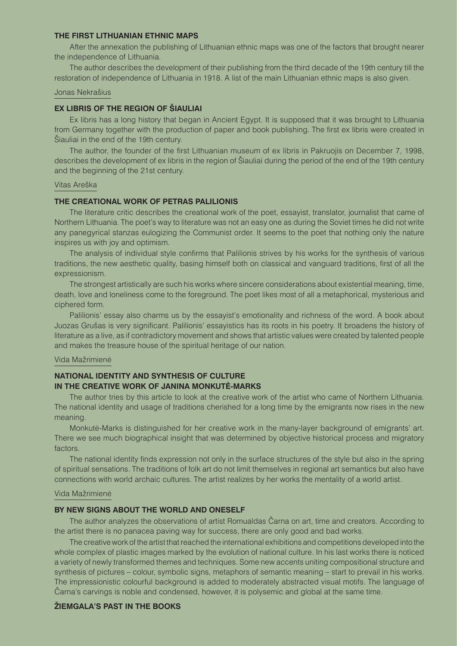### **The first Lithuanian ethnic maps**

After the annexation the publishing of Lithuanian ethnic maps was one of the factors that brought nearer the independence of Lithuania.

The author describes the development of their publishing from the third decade of the 19th century till the restoration of independence of Lithuania in 1918. A list of the main Lithuanian ethnic maps is also given.

#### Jonas Nekraðius

# **EX LIBRIS OF THE REGION OF SIAULIAI**

Ex libris has a long history that began in Ancient Egypt. It is supposed that it was brought to Lithuania from Germany together with the production of paper and book publishing. The first ex libris were created in Šiauliai in the end of the 19th century.

The author, the founder of the first Lithuanian museum of ex libris in Pakruojis on December 7, 1998, describes the development of ex libris in the region of Siauliai during the period of the end of the 19th century and the beginning of the 21st century.

#### Vitas Areðka

# **The creational work of Petras Palilionis**

The literature critic describes the creational work of the poet, essayist, translator, journalist that came of Northern Lithuania. The poet's way to literature was not an easy one as during the Soviet times he did not write any panegyrical stanzas eulogizing the Communist order. It seems to the poet that nothing only the nature inspires us with joy and optimism.

The analysis of individual style confirms that Palilionis strives by his works for the synthesis of various traditions, the new aesthetic quality, basing himself both on classical and vanguard traditions, first of all the expressionism.

The strongest artistically are such his works where sincere considerations about existential meaning, time, death, love and loneliness come to the foreground. The poet likes most of all a metaphorical, mysterious and ciphered form.

Palilionis' essay also charms us by the essayist's emotionality and richness of the word. A book about Juozas Gruðas is very significant. Palilionis' essayistics has its roots in his poetry. It broadens the history of literature as a live, as if contradictory movement and shows that artistic values were created by talented people and makes the treasure house of the spiritual heritage of our nation.

#### Vida Mažrimienė

# **National identity and synthesis of culture in the creative work of Janina Monkutë-Marks**

The author tries by this article to look at the creative work of the artist who came of Northern Lithuania. The national identity and usage of traditions cherished for a long time by the emigrants now rises in the new meaning.

Monkutë-Marks is distinguished for her creative work in the many-layer background of emigrants' art. There we see much biographical insight that was determined by objective historical process and migratory factors.

The national identity finds expression not only in the surface structures of the style but also in the spring of spiritual sensations. The traditions of folk art do not limit themselves in regional art semantics but also have connections with world archaic cultures. The artist realizes by her works the mentality of a world artist.

#### Vida Mažrimienė

#### **By new signs about the world and oneself**

The author analyzes the observations of artist Romualdas Èarna on art, time and creators. According to the artist there is no panacea paving way for success, there are only good and bad works.

The creative work of the artist that reached the international exhibitions and competitions developed into the whole complex of plastic images marked by the evolution of national culture. In his last works there is noticed a variety of newly transformed themes and techniques. Some new accents uniting compositional structure and synthesis of pictures – colour, symbolic signs, metaphors of semantic meaning – start to prevail in his works. The impressionistic colourful background is added to moderately abstracted visual motifs. The language of Èarna's carvings is noble and condensed, however, it is polysemic and global at the same time.

#### *<u>ŻIEMGALA'S PAST IN THE BOOKS</u>*